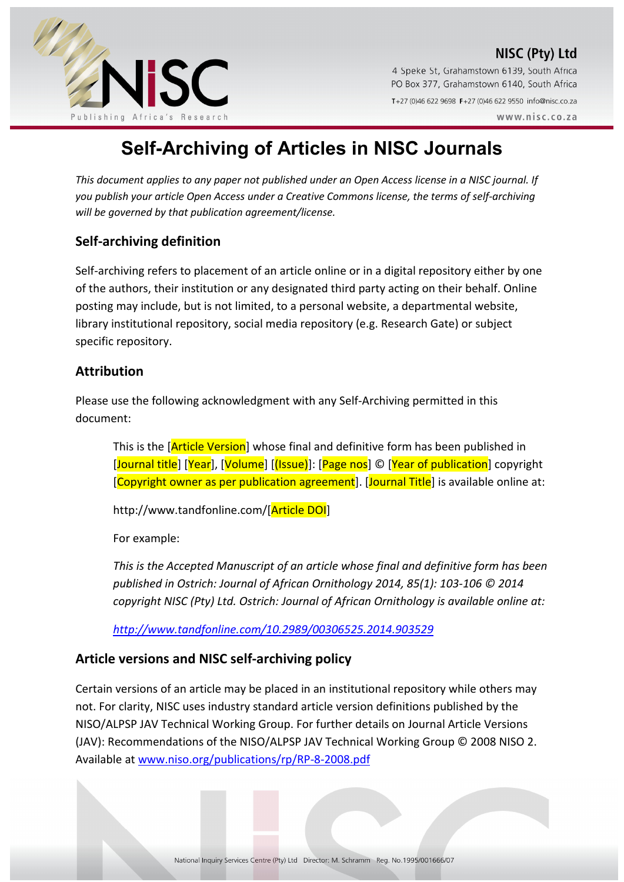



4 Speke St, Grahamstown 6139, South Africa PO Box 377, Grahamstown 6140, South Africa T+27 (0)46 622 9698 F+27 (0)46 622 9550 info@nisc.co.za  $WWW$  nisc co za

# **Self-Archiving of Articles in NISC Journals**

*This document applies to any paper not published under an Open Access license in a NISC journal. If you publish your article Open Access under a Creative Commons license, the terms of self-archiving will be governed by that publication agreement/license.* 

# **Self-archiving definition**

Self-archiving refers to placement of an article online or in a digital repository either by one of the authors, their institution or any designated third party acting on their behalf. Online posting may include, but is not limited, to a personal website, a departmental website, library institutional repository, social media repository (e.g. Research Gate) or subject specific repository.

## **Attribution**

Please use the following acknowledgment with any Self-Archiving permitted in this document:

This is the [Article Version] whose final and definitive form has been published in [Journal title] [Year], [Volume] [(Issue)]: [Page nos] © [Year of publication] copyright [Copyright owner as per publication agreement]. [Journal Title] is available online at:

http://www.tandfonline.com/[Article DOI]

For example:

*This is the Accepted Manuscript of an article whose final and definitive form has been published in Ostrich: Journal of African Ornithology 2014, 85(1): 103-106 © 2014 copyright NISC (Pty) Ltd. Ostrich: Journal of African Ornithology is available online at:* 

*http://www.tandfonline.com/10.2989/00306525.2014.903529* 

## **Article versions and NISC self-archiving policy**

Certain versions of an article may be placed in an institutional repository while others may not. For clarity, NISC uses industry standard article version definitions published by the NISO/ALPSP JAV Technical Working Group. For further details on Journal Article Versions (JAV): Recommendations of the NISO/ALPSP JAV Technical Working Group © 2008 NISO 2. Available at www.niso.org/publications/rp/RP-8-2008.pdf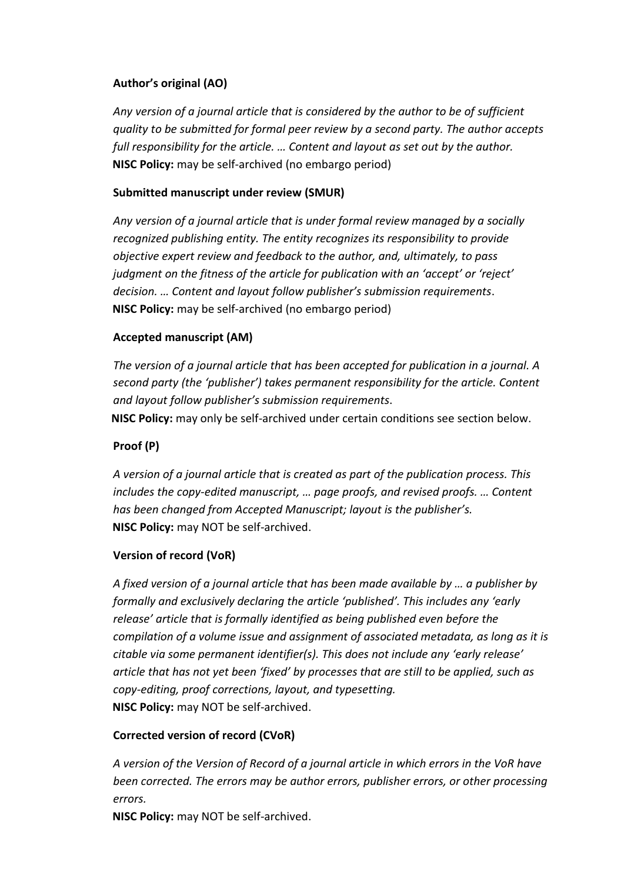#### **Author's original (AO)**

*Any version of a journal article that is considered by the author to be of sufficient quality to be submitted for formal peer review by a second party. The author accepts full responsibility for the article. … Content and layout as set out by the author.* **NISC Policy:** may be self-archived (no embargo period)

## **Submitted manuscript under review (SMUR)**

*Any version of a journal article that is under formal review managed by a socially recognized publishing entity. The entity recognizes its responsibility to provide objective expert review and feedback to the author, and, ultimately, to pass judgment on the fitness of the article for publication with an 'accept' or 'reject' decision. … Content and layout follow publisher's submission requirements*. **NISC Policy:** may be self-archived (no embargo period)

## **Accepted manuscript (AM)**

*The version of a journal article that has been accepted for publication in a journal. A second party (the 'publisher') takes permanent responsibility for the article. Content and layout follow publisher's submission requirements*.

**NISC Policy:** may only be self-archived under certain conditions see section below.

# **Proof (P)**

*A version of a journal article that is created as part of the publication process. This includes the copy-edited manuscript, … page proofs, and revised proofs. … Content has been changed from Accepted Manuscript; layout is the publisher's.*  **NISC Policy:** may NOT be self-archived.

#### **Version of record (VoR)**

*A fixed version of a journal article that has been made available by … a publisher by formally and exclusively declaring the article 'published'. This includes any 'early release' article that is formally identified as being published even before the compilation of a volume issue and assignment of associated metadata, as long as it is citable via some permanent identifier(s). This does not include any 'early release' article that has not yet been 'fixed' by processes that are still to be applied, such as copy-editing, proof corrections, layout, and typesetting.* **NISC Policy:** may NOT be self-archived.

#### **Corrected version of record (CVoR)**

*A version of the Version of Record of a journal article in which errors in the VoR have been corrected. The errors may be author errors, publisher errors, or other processing errors.* 

**NISC Policy:** may NOT be self-archived.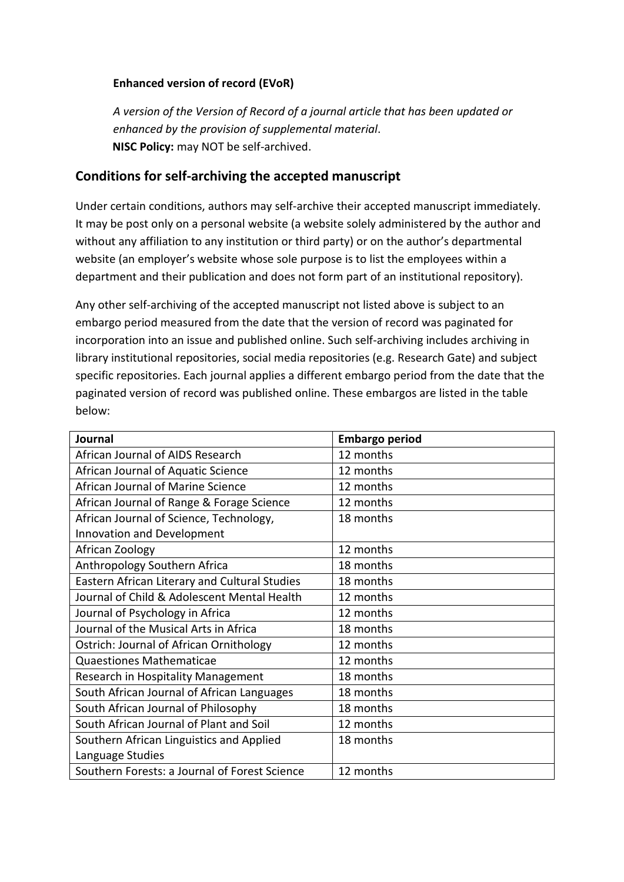#### **Enhanced version of record (EVoR)**

*A version of the Version of Record of a journal article that has been updated or enhanced by the provision of supplemental material*. **NISC Policy:** may NOT be self-archived.

# **Conditions for self-archiving the accepted manuscript**

Under certain conditions, authors may self-archive their accepted manuscript immediately. It may be post only on a personal website (a website solely administered by the author and without any affiliation to any institution or third party) or on the author's departmental website (an employer's website whose sole purpose is to list the employees within a department and their publication and does not form part of an institutional repository).

Any other self-archiving of the accepted manuscript not listed above is subject to an embargo period measured from the date that the version of record was paginated for incorporation into an issue and published online. Such self-archiving includes archiving in library institutional repositories, social media repositories (e.g. Research Gate) and subject specific repositories. Each journal applies a different embargo period from the date that the paginated version of record was published online. These embargos are listed in the table below:

| <b>Journal</b>                                | <b>Embargo period</b> |
|-----------------------------------------------|-----------------------|
| African Journal of AIDS Research              | 12 months             |
| African Journal of Aquatic Science            | 12 months             |
| African Journal of Marine Science             | 12 months             |
| African Journal of Range & Forage Science     | 12 months             |
| African Journal of Science, Technology,       | 18 months             |
| Innovation and Development                    |                       |
| African Zoology                               | 12 months             |
| Anthropology Southern Africa                  | 18 months             |
| Eastern African Literary and Cultural Studies | 18 months             |
| Journal of Child & Adolescent Mental Health   | 12 months             |
| Journal of Psychology in Africa               | 12 months             |
| Journal of the Musical Arts in Africa         | 18 months             |
| Ostrich: Journal of African Ornithology       | 12 months             |
| <b>Quaestiones Mathematicae</b>               | 12 months             |
| Research in Hospitality Management            | 18 months             |
| South African Journal of African Languages    | 18 months             |
| South African Journal of Philosophy           | 18 months             |
| South African Journal of Plant and Soil       | 12 months             |
| Southern African Linguistics and Applied      | 18 months             |
| Language Studies                              |                       |
| Southern Forests: a Journal of Forest Science | 12 months             |